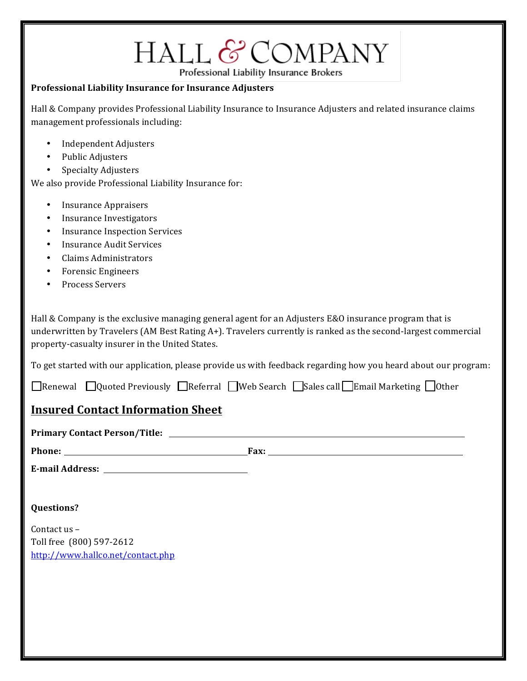# HALL & COMPANY

Professional Liability Insurance Brokers

### **Professional Liability Insurance for Insurance Adjusters**

Hall & Company provides Professional Liability Insurance to Insurance Adjusters and related insurance claims management professionals including:

- Independent Adjusters
- Public Adjusters
- Specialty Adjusters

We also provide Professional Liability Insurance for:

- Insurance Appraisers
- Insurance Investigators
- Insurance Inspection Services
- Insurance Audit Services
- Claims Administrators
- Forensic Engineers
- Process Servers

Hall & Company is the exclusive managing general agent for an Adjusters E&O insurance program that is underwritten by Travelers  $(AM BestRating A+)$ . Travelers currently is ranked as the second-largest commercial</mark> property-casualty insurer in the United States.

To get started with our application, please provide us with feedback regarding how you heard about our program:

 $\Box$ Renewal  $\Box$ Quoted Previously  $\Box$ Referral  $\Box$ Web Search  $\Box$ Sales call $\Box$ Email Marketing  $\Box$ Other

# **Insured Contact Information Sheet**

|  | <b>Primary Contact Person/Title:</b> |
|--|--------------------------------------|
|--|--------------------------------------|

**Phone: Fax:** 

| <b>E-mail Address:</b> |  |
|------------------------|--|
|                        |  |

## **Questions?**

Contact us -Toll free (800) 597-2612 http://www.hallco.net/contact.php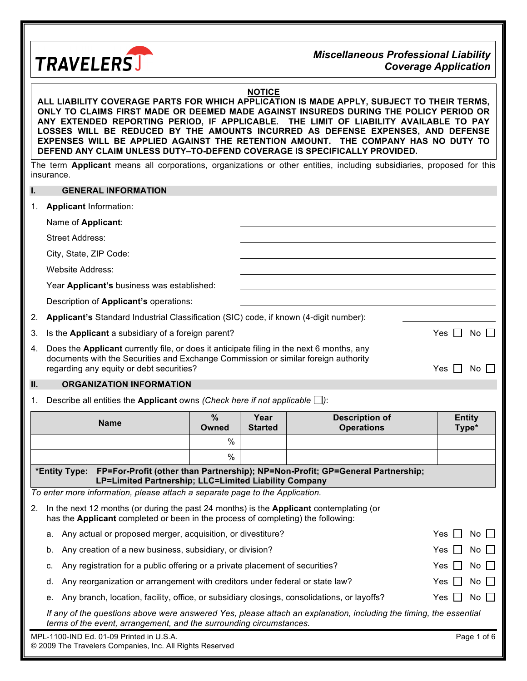

#### *Miscellaneous Professional Liability Coverage Application*

#### **NOTICE**

**ALL LIABILITY COVERAGE PARTS FOR WHICH APPLICATION IS MADE APPLY, SUBJECT TO THEIR TERMS, ONLY TO CLAIMS FIRST MADE OR DEEMED MADE AGAINST INSUREDS DURING THE POLICY PERIOD OR ANY EXTENDED REPORTING PERIOD, IF APPLICABLE. THE LIMIT OF LIABILITY AVAILABLE TO PAY LOSSES WILL BE REDUCED BY THE AMOUNTS INCURRED AS DEFENSE EXPENSES, AND DEFENSE EXPENSES WILL BE APPLIED AGAINST THE RETENTION AMOUNT. THE COMPANY HAS NO DUTY TO DEFEND ANY CLAIM UNLESS DUTY–TO-DEFEND COVERAGE IS SPECIFICALLY PROVIDED.**

The term **Applicant** means all corporations, organizations or other entities, including subsidiaries, proposed for this insurance.

#### **I. GENERAL INFORMATION**

| 1. | <b>Applicant Information:</b>                                                                                                                                                                                               |              |
|----|-----------------------------------------------------------------------------------------------------------------------------------------------------------------------------------------------------------------------------|--------------|
|    | Name of Applicant:                                                                                                                                                                                                          |              |
|    | Street Address:                                                                                                                                                                                                             |              |
|    | City, State, ZIP Code:                                                                                                                                                                                                      |              |
|    | Website Address:                                                                                                                                                                                                            |              |
|    | Year Applicant's business was established:                                                                                                                                                                                  |              |
|    | Description of <b>Applicant's</b> operations:                                                                                                                                                                               |              |
| 2. | Applicant's Standard Industrial Classification (SIC) code, if known (4-digit number):                                                                                                                                       |              |
| 3. | Is the Applicant a subsidiary of a foreign parent?                                                                                                                                                                          | Yes<br>No II |
| 4. | Does the Applicant currently file, or does it anticipate filing in the next 6 months, any<br>documents with the Securities and Exchange Commission or similar foreign authority<br>regarding any equity or debt securities? | Yes<br>No I  |

#### **II. ORGANIZATION INFORMATION**

1. Describe all entities the **Applicant** owns *(Check here if not applicable )*:

| <b>Name</b>                                                                                                                                                                                     | $\%$<br>Owned | Year<br><b>Started</b> | <b>Description of</b><br><b>Operations</b> | <b>Entity</b><br>Type*       |  |  |
|-------------------------------------------------------------------------------------------------------------------------------------------------------------------------------------------------|---------------|------------------------|--------------------------------------------|------------------------------|--|--|
|                                                                                                                                                                                                 | $\%$          |                        |                                            |                              |  |  |
|                                                                                                                                                                                                 | $\%$          |                        |                                            |                              |  |  |
| *Entity Type: FP=For-Profit (other than Partnership); NP=Non-Profit; GP=General Partnership;<br>LP=Limited Partnership; LLC=Limited Liability Company                                           |               |                        |                                            |                              |  |  |
| To enter more information, please attach a separate page to the Application.                                                                                                                    |               |                        |                                            |                              |  |  |
| In the next 12 months (or during the past 24 months) is the <b>Applicant</b> contemplating (or<br>2.<br>has the <b>Applicant</b> completed or been in the process of completing) the following: |               |                        |                                            |                              |  |  |
| Any actual or proposed merger, acquisition, or divestiture?<br>a.                                                                                                                               |               |                        |                                            | Yes  <br>No                  |  |  |
| Any creation of a new business, subsidiary, or division?<br>b.                                                                                                                                  |               |                        |                                            | $No$ $\Box$<br>Yes $  \;  $  |  |  |
| Any registration for a public offering or a private placement of securities?<br>C.                                                                                                              |               |                        |                                            | $No$ $\vert \vert$<br>Yes II |  |  |
| Any reorganization or arrangement with creditors under federal or state law?<br>Yes II<br>$No$ $\vert \ \vert$<br>d.                                                                            |               |                        |                                            |                              |  |  |
| $No$ $\vert \vert$<br>Any branch, location, facility, office, or subsidiary closings, consolidations, or layoffs?<br>Yes I<br>е.                                                                |               |                        |                                            |                              |  |  |
| If any of the questions above were answered Yes, please attach an explanation, including the timing, the essential<br>terms of the event, arrangement, and the surrounding circumstances.       |               |                        |                                            |                              |  |  |
| MPL-1100-IND Ed. 01-09 Printed in U.S.A.<br>Page 1 of 6<br>© 2009 The Travelers Companies, Inc. All Rights Reserved                                                                             |               |                        |                                            |                              |  |  |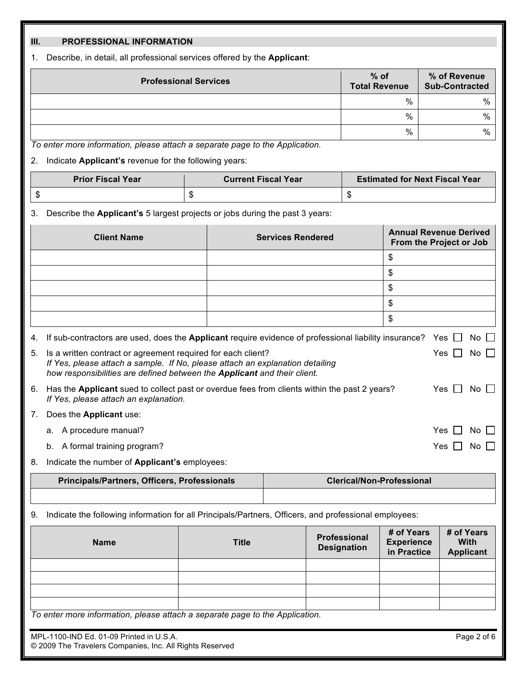#### **III. PROFESSIONAL INFORMATION**

1. Describe, in detail, all professional services offered by the **Applicant**:

| <b>Professional Services</b> | $%$ of<br><b>Total Revenue</b> | % of Revenue<br><b>Sub-Contracted</b> |
|------------------------------|--------------------------------|---------------------------------------|
|                              | %                              | %                                     |
|                              | %                              | %                                     |
|                              | %                              | %                                     |

*To enter more information, please attach a separate page to the Application.*

2. Indicate **Applicant's** revenue for the following years:

| <b>Prior Fiscal Year</b> | <b>Current Fiscal Year</b> | <b>Estimated for Next Fiscal Year</b> |  |  |
|--------------------------|----------------------------|---------------------------------------|--|--|
|                          |                            |                                       |  |  |

3. Describe the **Applicant's** 5 largest projects or jobs during the past 3 years:

|    | <b>Client Name</b>                                                                                                                                                                                                        | <b>Services Rendered</b>                                                                              | <b>Annual Revenue Derived</b><br>From the Project or Job |       |           |  |
|----|---------------------------------------------------------------------------------------------------------------------------------------------------------------------------------------------------------------------------|-------------------------------------------------------------------------------------------------------|----------------------------------------------------------|-------|-----------|--|
|    |                                                                                                                                                                                                                           |                                                                                                       | \$                                                       |       |           |  |
|    |                                                                                                                                                                                                                           |                                                                                                       | \$                                                       |       |           |  |
|    |                                                                                                                                                                                                                           |                                                                                                       | \$                                                       |       |           |  |
|    |                                                                                                                                                                                                                           |                                                                                                       | \$                                                       |       |           |  |
|    |                                                                                                                                                                                                                           |                                                                                                       | \$                                                       |       |           |  |
| 4. |                                                                                                                                                                                                                           | If sub-contractors are used, does the Applicant require evidence of professional liability insurance? |                                                          | Yes I | No II     |  |
| 5. | Is a written contract or agreement required for each client?<br>If Yes, please attach a sample. If No, please attach an explanation detailing<br>how responsibilities are defined between the Applicant and their client. |                                                                                                       |                                                          | Yes   | No II     |  |
| 6. | If Yes, please attach an explanation.                                                                                                                                                                                     | Has the Applicant sued to collect past or overdue fees from clients within the past 2 years?          |                                                          | Yes.  | No        |  |
| 7. | Does the Applicant use:                                                                                                                                                                                                   |                                                                                                       |                                                          |       |           |  |
|    | a. A procedure manual?                                                                                                                                                                                                    |                                                                                                       |                                                          | Yes.  | No.       |  |
|    | A formal training program?<br>b.                                                                                                                                                                                          |                                                                                                       |                                                          | Yes.  | <b>No</b> |  |
|    |                                                                                                                                                                                                                           |                                                                                                       |                                                          |       |           |  |

8. Indicate the number of **Applicant's** employees:

| Principals/Partners, Officers, Professionals | <b>Clerical/Non-Professional</b> |  |  |
|----------------------------------------------|----------------------------------|--|--|
|                                              |                                  |  |  |

9. Indicate the following information for all Principals/Partners, Officers, and professional employees:

| <b>Name</b>                                                                  | <b>Title</b> | Professional<br><b>Designation</b> | # of Years<br><b>Experience</b><br>in Practice | # of Years<br>With<br><b>Applicant</b> |  |  |  |
|------------------------------------------------------------------------------|--------------|------------------------------------|------------------------------------------------|----------------------------------------|--|--|--|
|                                                                              |              |                                    |                                                |                                        |  |  |  |
|                                                                              |              |                                    |                                                |                                        |  |  |  |
|                                                                              |              |                                    |                                                |                                        |  |  |  |
|                                                                              |              |                                    |                                                |                                        |  |  |  |
| To enter more information, please attach a separate page to the Application. |              |                                    |                                                |                                        |  |  |  |

MPL-1100-IND Ed. 01-09 Printed in U.S.A. **Page 2 of 6** © 2009 The Travelers Companies, Inc. All Rights Reserved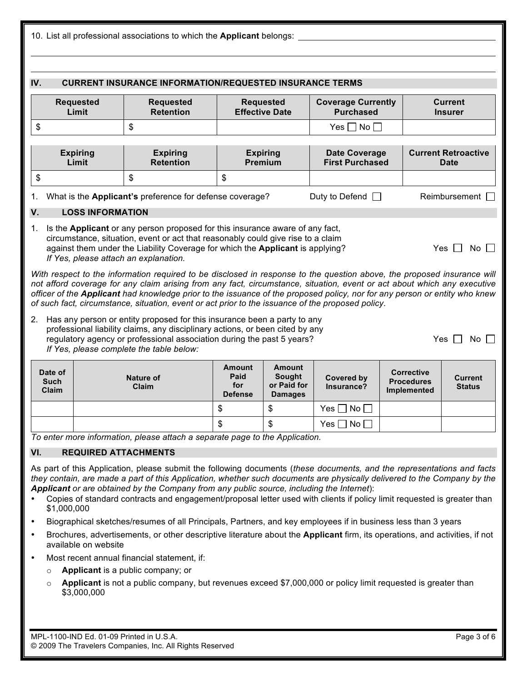|                                                                                                                                                                                                                                                                                                                                                                                                                                                                                                                                                                                                            | 10. List all professional associations to which the Applicant belongs:                                                                                                                              |                         |                                                                                                                                                                                                                                                                                                                                                                                                                         |                                                |                                                          |                                                |                                                       |  |                                       |
|------------------------------------------------------------------------------------------------------------------------------------------------------------------------------------------------------------------------------------------------------------------------------------------------------------------------------------------------------------------------------------------------------------------------------------------------------------------------------------------------------------------------------------------------------------------------------------------------------------|-----------------------------------------------------------------------------------------------------------------------------------------------------------------------------------------------------|-------------------------|-------------------------------------------------------------------------------------------------------------------------------------------------------------------------------------------------------------------------------------------------------------------------------------------------------------------------------------------------------------------------------------------------------------------------|------------------------------------------------|----------------------------------------------------------|------------------------------------------------|-------------------------------------------------------|--|---------------------------------------|
|                                                                                                                                                                                                                                                                                                                                                                                                                                                                                                                                                                                                            |                                                                                                                                                                                                     |                         |                                                                                                                                                                                                                                                                                                                                                                                                                         |                                                |                                                          |                                                |                                                       |  |                                       |
| IV.                                                                                                                                                                                                                                                                                                                                                                                                                                                                                                                                                                                                        | <b>CURRENT INSURANCE INFORMATION/REQUESTED INSURANCE TERMS</b>                                                                                                                                      |                         |                                                                                                                                                                                                                                                                                                                                                                                                                         |                                                |                                                          |                                                |                                                       |  |                                       |
|                                                                                                                                                                                                                                                                                                                                                                                                                                                                                                                                                                                                            | <b>Requested</b><br><b>Coverage Currently</b><br><b>Current</b><br><b>Requested</b><br><b>Requested</b><br>Limit<br><b>Retention</b><br><b>Effective Date</b><br><b>Purchased</b><br><b>Insurer</b> |                         |                                                                                                                                                                                                                                                                                                                                                                                                                         |                                                |                                                          |                                                |                                                       |  |                                       |
| \$                                                                                                                                                                                                                                                                                                                                                                                                                                                                                                                                                                                                         |                                                                                                                                                                                                     |                         | \$                                                                                                                                                                                                                                                                                                                                                                                                                      |                                                |                                                          | Yes $\Box$ No $\Box$                           |                                                       |  |                                       |
|                                                                                                                                                                                                                                                                                                                                                                                                                                                                                                                                                                                                            | <b>Expiring</b><br>Limit                                                                                                                                                                            |                         | <b>Expiring</b><br><b>Retention</b>                                                                                                                                                                                                                                                                                                                                                                                     |                                                | <b>Expiring</b><br><b>Premium</b>                        | <b>Date Coverage</b><br><b>First Purchased</b> |                                                       |  | <b>Current Retroactive</b><br>Date    |
| \$                                                                                                                                                                                                                                                                                                                                                                                                                                                                                                                                                                                                         |                                                                                                                                                                                                     |                         | \$                                                                                                                                                                                                                                                                                                                                                                                                                      | \$                                             |                                                          |                                                |                                                       |  |                                       |
| 1.                                                                                                                                                                                                                                                                                                                                                                                                                                                                                                                                                                                                         |                                                                                                                                                                                                     |                         | What is the Applicant's preference for defense coverage?                                                                                                                                                                                                                                                                                                                                                                |                                                |                                                          | Duty to Defend $\Box$                          |                                                       |  | Reimbursement                         |
| V.                                                                                                                                                                                                                                                                                                                                                                                                                                                                                                                                                                                                         |                                                                                                                                                                                                     | <b>LOSS INFORMATION</b> |                                                                                                                                                                                                                                                                                                                                                                                                                         |                                                |                                                          |                                                |                                                       |  |                                       |
| 1.                                                                                                                                                                                                                                                                                                                                                                                                                                                                                                                                                                                                         |                                                                                                                                                                                                     |                         | Is the Applicant or any person proposed for this insurance aware of any fact,<br>circumstance, situation, event or act that reasonably could give rise to a claim<br>against them under the Liability Coverage for which the Applicant is applying?<br>If Yes, please attach an explanation.<br>With respect to the information required to be disclosed in response to the question above, the proposed insurance will |                                                |                                                          |                                                |                                                       |  | $Yes$ $\vert$ $\vert$<br>No II        |
|                                                                                                                                                                                                                                                                                                                                                                                                                                                                                                                                                                                                            |                                                                                                                                                                                                     |                         | not afford coverage for any claim arising from any fact, circumstance, situation, event or act about which any executive<br>officer of the Applicant had knowledge prior to the issuance of the proposed policy, nor for any person or entity who knew<br>of such fact, circumstance, situation, event or act prior to the issuance of the proposed policy.                                                             |                                                |                                                          |                                                |                                                       |  |                                       |
| 2.                                                                                                                                                                                                                                                                                                                                                                                                                                                                                                                                                                                                         |                                                                                                                                                                                                     |                         | Has any person or entity proposed for this insurance been a party to any<br>professional liability claims, any disciplinary actions, or been cited by any<br>regulatory agency or professional association during the past 5 years?<br>If Yes, please complete the table below:                                                                                                                                         |                                                |                                                          |                                                |                                                       |  | Yes $\lfloor$<br>$No$ $\vert \ \vert$ |
|                                                                                                                                                                                                                                                                                                                                                                                                                                                                                                                                                                                                            | Date of<br><b>Such</b><br>Claim                                                                                                                                                                     |                         | <b>Nature of</b><br>Claim                                                                                                                                                                                                                                                                                                                                                                                               | <b>Amount</b><br>Paid<br>for<br><b>Defense</b> | <b>Amount</b><br>Sought<br>or Paid for<br><b>Damages</b> | <b>Covered by</b><br>Insurance?                | <b>Corrective</b><br><b>Procedures</b><br>Implemented |  | <b>Current</b><br><b>Status</b>       |
|                                                                                                                                                                                                                                                                                                                                                                                                                                                                                                                                                                                                            |                                                                                                                                                                                                     |                         |                                                                                                                                                                                                                                                                                                                                                                                                                         | \$                                             | \$                                                       | Yes    <br>No                                  |                                                       |  |                                       |
|                                                                                                                                                                                                                                                                                                                                                                                                                                                                                                                                                                                                            |                                                                                                                                                                                                     |                         |                                                                                                                                                                                                                                                                                                                                                                                                                         | \$                                             | \$                                                       | $Yes \Box No \Box$                             |                                                       |  |                                       |
|                                                                                                                                                                                                                                                                                                                                                                                                                                                                                                                                                                                                            |                                                                                                                                                                                                     |                         | To enter more information, please attach a separate page to the Application.                                                                                                                                                                                                                                                                                                                                            |                                                |                                                          |                                                |                                                       |  |                                       |
| VI.                                                                                                                                                                                                                                                                                                                                                                                                                                                                                                                                                                                                        |                                                                                                                                                                                                     |                         | <b>REQUIRED ATTACHMENTS</b>                                                                                                                                                                                                                                                                                                                                                                                             |                                                |                                                          |                                                |                                                       |  |                                       |
| As part of this Application, please submit the following documents (these documents, and the representations and facts<br>they contain, are made a part of this Application, whether such documents are physically delivered to the Company by the<br>Applicant or are obtained by the Company from any public source, including the Internet):<br>Copies of standard contracts and engagement/proposal letter used with clients if policy limit requested is greater than<br>\$1,000,000<br>Biographical sketches/resumes of all Principals, Partners, and key employees if in business less than 3 years |                                                                                                                                                                                                     |                         |                                                                                                                                                                                                                                                                                                                                                                                                                         |                                                |                                                          |                                                |                                                       |  |                                       |
| $\bullet$<br>٠                                                                                                                                                                                                                                                                                                                                                                                                                                                                                                                                                                                             |                                                                                                                                                                                                     |                         | Brochures, advertisements, or other descriptive literature about the Applicant firm, its operations, and activities, if not                                                                                                                                                                                                                                                                                             |                                                |                                                          |                                                |                                                       |  |                                       |
|                                                                                                                                                                                                                                                                                                                                                                                                                                                                                                                                                                                                            |                                                                                                                                                                                                     | available on website    |                                                                                                                                                                                                                                                                                                                                                                                                                         |                                                |                                                          |                                                |                                                       |  |                                       |
| ٠                                                                                                                                                                                                                                                                                                                                                                                                                                                                                                                                                                                                          | $\circ$                                                                                                                                                                                             |                         | Most recent annual financial statement, if:<br>Applicant is a public company; or                                                                                                                                                                                                                                                                                                                                        |                                                |                                                          |                                                |                                                       |  |                                       |
|                                                                                                                                                                                                                                                                                                                                                                                                                                                                                                                                                                                                            | $\circ$                                                                                                                                                                                             | \$3,000,000             | Applicant is not a public company, but revenues exceed \$7,000,000 or policy limit requested is greater than                                                                                                                                                                                                                                                                                                            |                                                |                                                          |                                                |                                                       |  |                                       |
|                                                                                                                                                                                                                                                                                                                                                                                                                                                                                                                                                                                                            |                                                                                                                                                                                                     |                         |                                                                                                                                                                                                                                                                                                                                                                                                                         |                                                |                                                          |                                                |                                                       |  |                                       |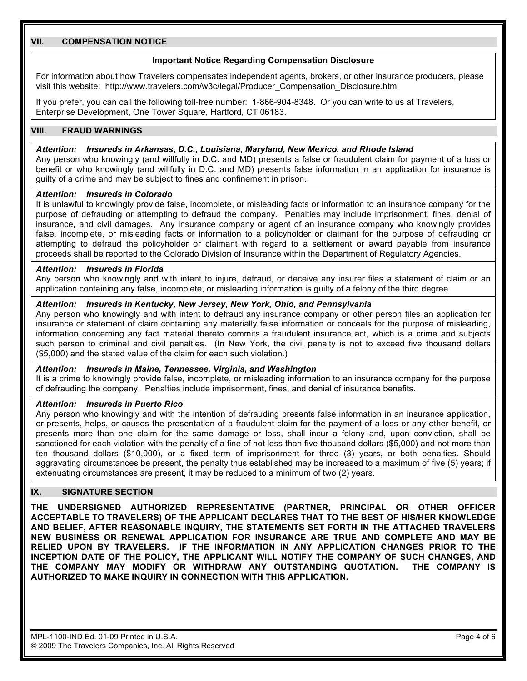#### **VII. COMPENSATION NOTICE**

#### **Important Notice Regarding Compensation Disclosure**

For information about how Travelers compensates independent agents, brokers, or other insurance producers, please visit this website: http://www.travelers.com/w3c/legal/Producer\_Compensation\_Disclosure.html

If you prefer, you can call the following toll-free number: 1-866-904-8348. Or you can write to us at Travelers, Enterprise Development, One Tower Square, Hartford, CT 06183.

#### **VIII. FRAUD WARNINGS**

#### *Attention: Insureds in Arkansas, D.C., Louisiana, Maryland, New Mexico, and Rhode Island*

Any person who knowingly (and willfully in D.C. and MD) presents a false or fraudulent claim for payment of a loss or benefit or who knowingly (and willfully in D.C. and MD) presents false information in an application for insurance is guilty of a crime and may be subject to fines and confinement in prison.

#### *Attention: Insureds in Colorado*

It is unlawful to knowingly provide false, incomplete, or misleading facts or information to an insurance company for the purpose of defrauding or attempting to defraud the company. Penalties may include imprisonment, fines, denial of insurance, and civil damages. Any insurance company or agent of an insurance company who knowingly provides false, incomplete, or misleading facts or information to a policyholder or claimant for the purpose of defrauding or attempting to defraud the policyholder or claimant with regard to a settlement or award payable from insurance proceeds shall be reported to the Colorado Division of Insurance within the Department of Regulatory Agencies.

#### *Attention: Insureds in Florida*

Any person who knowingly and with intent to injure, defraud, or deceive any insurer files a statement of claim or an application containing any false, incomplete, or misleading information is guilty of a felony of the third degree.

#### *Attention: Insureds in Kentucky, New Jersey, New York, Ohio, and Pennsylvania*

Any person who knowingly and with intent to defraud any insurance company or other person files an application for insurance or statement of claim containing any materially false information or conceals for the purpose of misleading, information concerning any fact material thereto commits a fraudulent insurance act, which is a crime and subjects such person to criminal and civil penalties. (In New York, the civil penalty is not to exceed five thousand dollars (\$5,000) and the stated value of the claim for each such violation.)

#### *Attention: Insureds in Maine, Tennessee, Virginia, and Washington*

It is a crime to knowingly provide false, incomplete, or misleading information to an insurance company for the purpose of defrauding the company. Penalties include imprisonment, fines, and denial of insurance benefits.

#### *Attention: Insureds in Puerto Rico*

Any person who knowingly and with the intention of defrauding presents false information in an insurance application, or presents, helps, or causes the presentation of a fraudulent claim for the payment of a loss or any other benefit, or presents more than one claim for the same damage or loss, shall incur a felony and, upon conviction, shall be sanctioned for each violation with the penalty of a fine of not less than five thousand dollars (\$5,000) and not more than ten thousand dollars (\$10,000), or a fixed term of imprisonment for three (3) years, or both penalties. Should aggravating circumstances be present, the penalty thus established may be increased to a maximum of five (5) years; if extenuating circumstances are present, it may be reduced to a minimum of two (2) years.

#### **IX. SIGNATURE SECTION**

**THE UNDERSIGNED AUTHORIZED REPRESENTATIVE (PARTNER, PRINCIPAL OR OTHER OFFICER ACCEPTABLE TO TRAVELERS) OF THE APPLICANT DECLARES THAT TO THE BEST OF HIS/HER KNOWLEDGE AND BELIEF, AFTER REASONABLE INQUIRY, THE STATEMENTS SET FORTH IN THE ATTACHED TRAVELERS NEW BUSINESS OR RENEWAL APPLICATION FOR INSURANCE ARE TRUE AND COMPLETE AND MAY BE RELIED UPON BY TRAVELERS. IF THE INFORMATION IN ANY APPLICATION CHANGES PRIOR TO THE INCEPTION DATE OF THE POLICY, THE APPLICANT WILL NOTIFY THE COMPANY OF SUCH CHANGES, AND THE COMPANY MAY MODIFY OR WITHDRAW ANY OUTSTANDING QUOTATION. THE COMPANY IS AUTHORIZED TO MAKE INQUIRY IN CONNECTION WITH THIS APPLICATION.**